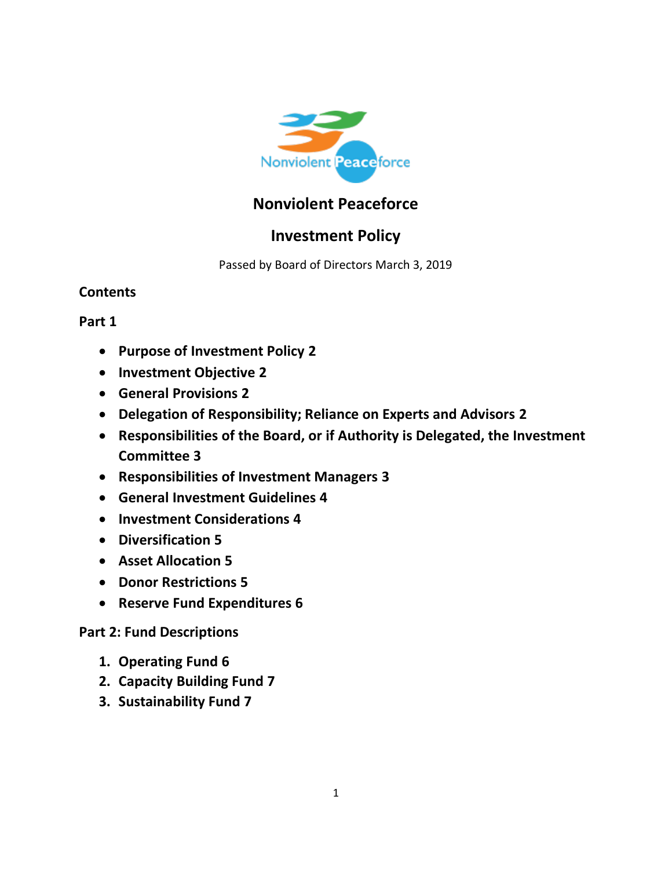

# **Nonviolent Peaceforce**

# **Investment Policy**

Passed by Board of Directors March 3, 2019

# **Contents**

# **Part 1**

- **Purpose of Investment Policy 2**
- **Investment Objective 2**
- **General Provisions 2**
- **Delegation of Responsibility; Reliance on Experts and Advisors 2**
- **Responsibilities of the Board, or if Authority is Delegated, the Investment Committee 3**
- **Responsibilities of Investment Managers 3**
- **General Investment Guidelines 4**
- **Investment Considerations 4**
- **Diversification 5**
- **Asset Allocation 5**
- **Donor Restrictions 5**
- **Reserve Fund Expenditures 6**

# **Part 2: Fund Descriptions**

- **1. Operating Fund 6**
- **2. Capacity Building Fund 7**
- **3. Sustainability Fund 7**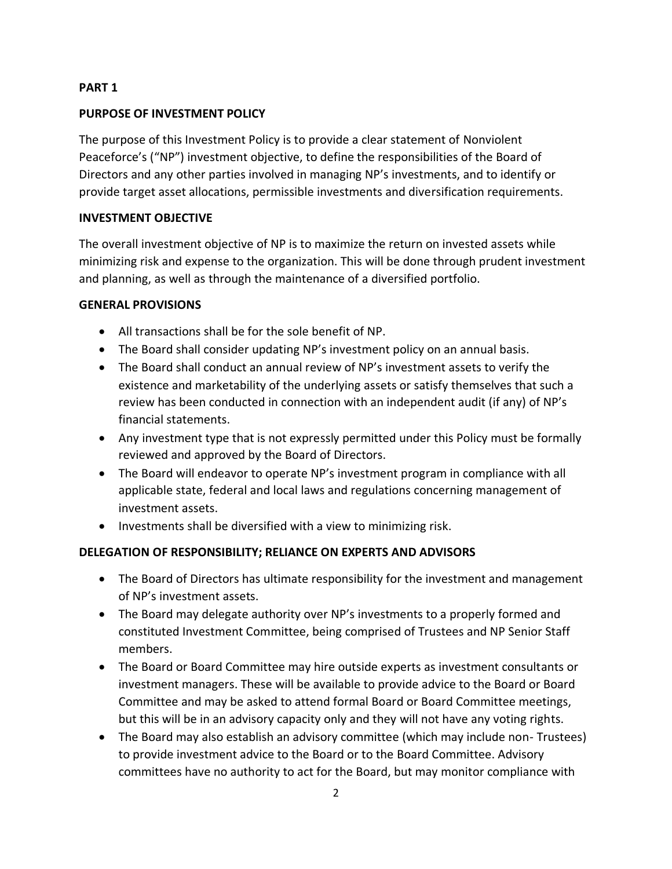#### **PART 1**

#### **PURPOSE OF INVESTMENT POLICY**

The purpose of this Investment Policy is to provide a clear statement of Nonviolent Peaceforce's ("NP") investment objective, to define the responsibilities of the Board of Directors and any other parties involved in managing NP's investments, and to identify or provide target asset allocations, permissible investments and diversification requirements.

#### **INVESTMENT OBJECTIVE**

The overall investment objective of NP is to maximize the return on invested assets while minimizing risk and expense to the organization. This will be done through prudent investment and planning, as well as through the maintenance of a diversified portfolio.

#### **GENERAL PROVISIONS**

- All transactions shall be for the sole benefit of NP.
- The Board shall consider updating NP's investment policy on an annual basis.
- The Board shall conduct an annual review of NP's investment assets to verify the existence and marketability of the underlying assets or satisfy themselves that such a review has been conducted in connection with an independent audit (if any) of NP's financial statements.
- Any investment type that is not expressly permitted under this Policy must be formally reviewed and approved by the Board of Directors.
- The Board will endeavor to operate NP's investment program in compliance with all applicable state, federal and local laws and regulations concerning management of investment assets.
- Investments shall be diversified with a view to minimizing risk.

## **DELEGATION OF RESPONSIBILITY; RELIANCE ON EXPERTS AND ADVISORS**

- The Board of Directors has ultimate responsibility for the investment and management of NP's investment assets.
- The Board may delegate authority over NP's investments to a properly formed and constituted Investment Committee, being comprised of Trustees and NP Senior Staff members.
- The Board or Board Committee may hire outside experts as investment consultants or investment managers. These will be available to provide advice to the Board or Board Committee and may be asked to attend formal Board or Board Committee meetings, but this will be in an advisory capacity only and they will not have any voting rights.
- The Board may also establish an advisory committee (which may include non- Trustees) to provide investment advice to the Board or to the Board Committee. Advisory committees have no authority to act for the Board, but may monitor compliance with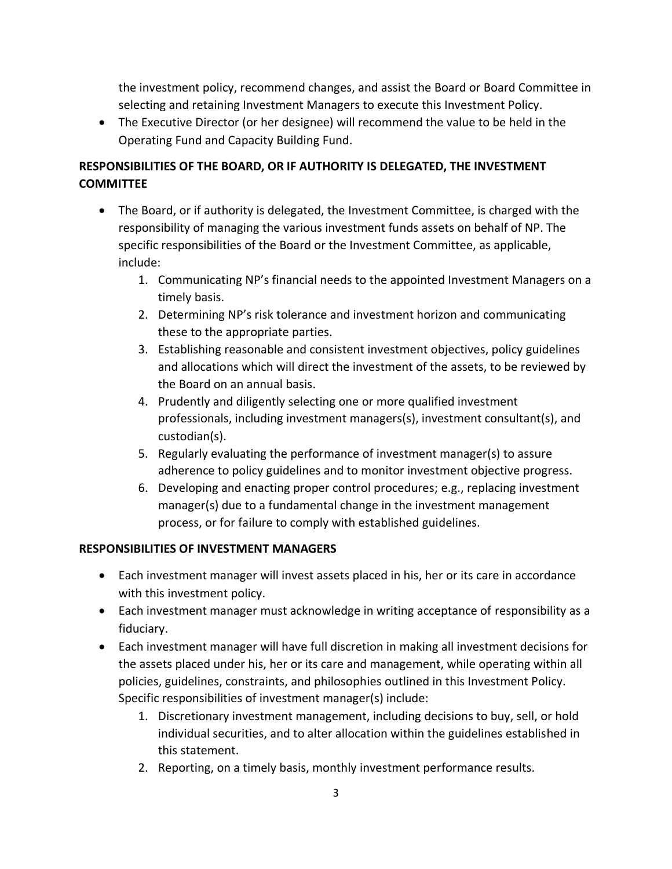the investment policy, recommend changes, and assist the Board or Board Committee in selecting and retaining Investment Managers to execute this Investment Policy.

• The Executive Director (or her designee) will recommend the value to be held in the Operating Fund and Capacity Building Fund.

# **RESPONSIBILITIES OF THE BOARD, OR IF AUTHORITY IS DELEGATED, THE INVESTMENT COMMITTEE**

- The Board, or if authority is delegated, the Investment Committee, is charged with the responsibility of managing the various investment funds assets on behalf of NP. The specific responsibilities of the Board or the Investment Committee, as applicable, include:
	- 1. Communicating NP's financial needs to the appointed Investment Managers on a timely basis.
	- 2. Determining NP's risk tolerance and investment horizon and communicating these to the appropriate parties.
	- 3. Establishing reasonable and consistent investment objectives, policy guidelines and allocations which will direct the investment of the assets, to be reviewed by the Board on an annual basis.
	- 4. Prudently and diligently selecting one or more qualified investment professionals, including investment managers(s), investment consultant(s), and custodian(s).
	- 5. Regularly evaluating the performance of investment manager(s) to assure adherence to policy guidelines and to monitor investment objective progress.
	- 6. Developing and enacting proper control procedures; e.g., replacing investment manager(s) due to a fundamental change in the investment management process, or for failure to comply with established guidelines.

# **RESPONSIBILITIES OF INVESTMENT MANAGERS**

- Each investment manager will invest assets placed in his, her or its care in accordance with this investment policy.
- Each investment manager must acknowledge in writing acceptance of responsibility as a fiduciary.
- Each investment manager will have full discretion in making all investment decisions for the assets placed under his, her or its care and management, while operating within all policies, guidelines, constraints, and philosophies outlined in this Investment Policy. Specific responsibilities of investment manager(s) include:
	- 1. Discretionary investment management, including decisions to buy, sell, or hold individual securities, and to alter allocation within the guidelines established in this statement.
	- 2. Reporting, on a timely basis, monthly investment performance results.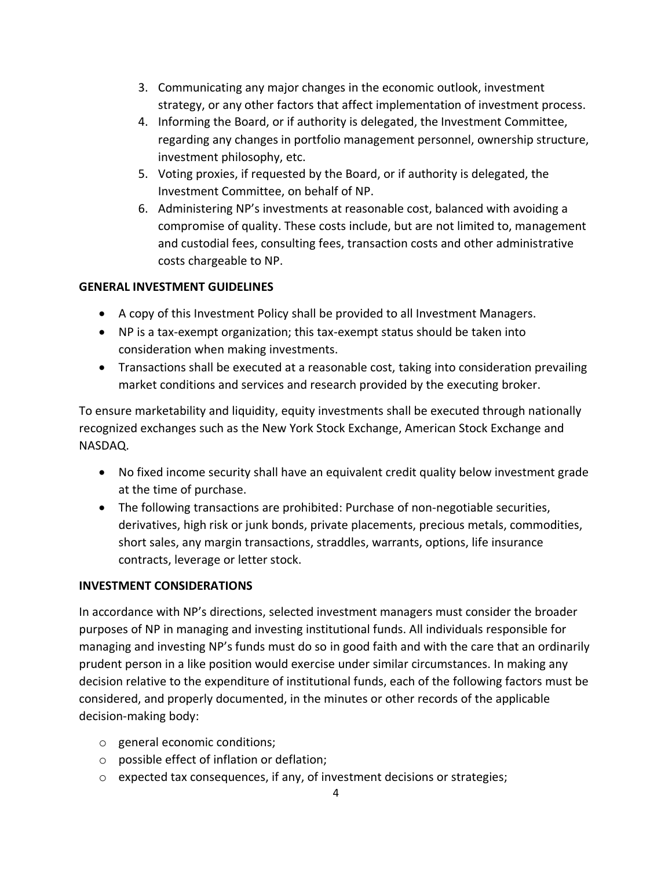- 3. Communicating any major changes in the economic outlook, investment strategy, or any other factors that affect implementation of investment process.
- 4. Informing the Board, or if authority is delegated, the Investment Committee, regarding any changes in portfolio management personnel, ownership structure, investment philosophy, etc.
- 5. Voting proxies, if requested by the Board, or if authority is delegated, the Investment Committee, on behalf of NP.
- 6. Administering NP's investments at reasonable cost, balanced with avoiding a compromise of quality. These costs include, but are not limited to, management and custodial fees, consulting fees, transaction costs and other administrative costs chargeable to NP.

#### **GENERAL INVESTMENT GUIDELINES**

- A copy of this Investment Policy shall be provided to all Investment Managers.
- NP is a tax-exempt organization; this tax-exempt status should be taken into consideration when making investments.
- Transactions shall be executed at a reasonable cost, taking into consideration prevailing market conditions and services and research provided by the executing broker.

To ensure marketability and liquidity, equity investments shall be executed through nationally recognized exchanges such as the New York Stock Exchange, American Stock Exchange and NASDAQ.

- No fixed income security shall have an equivalent credit quality below investment grade at the time of purchase.
- The following transactions are prohibited: Purchase of non-negotiable securities, derivatives, high risk or junk bonds, private placements, precious metals, commodities, short sales, any margin transactions, straddles, warrants, options, life insurance contracts, leverage or letter stock.

#### **INVESTMENT CONSIDERATIONS**

In accordance with NP's directions, selected investment managers must consider the broader purposes of NP in managing and investing institutional funds. All individuals responsible for managing and investing NP's funds must do so in good faith and with the care that an ordinarily prudent person in a like position would exercise under similar circumstances. In making any decision relative to the expenditure of institutional funds, each of the following factors must be considered, and properly documented, in the minutes or other records of the applicable decision-making body:

- o general economic conditions;
- o possible effect of inflation or deflation;
- o expected tax consequences, if any, of investment decisions or strategies;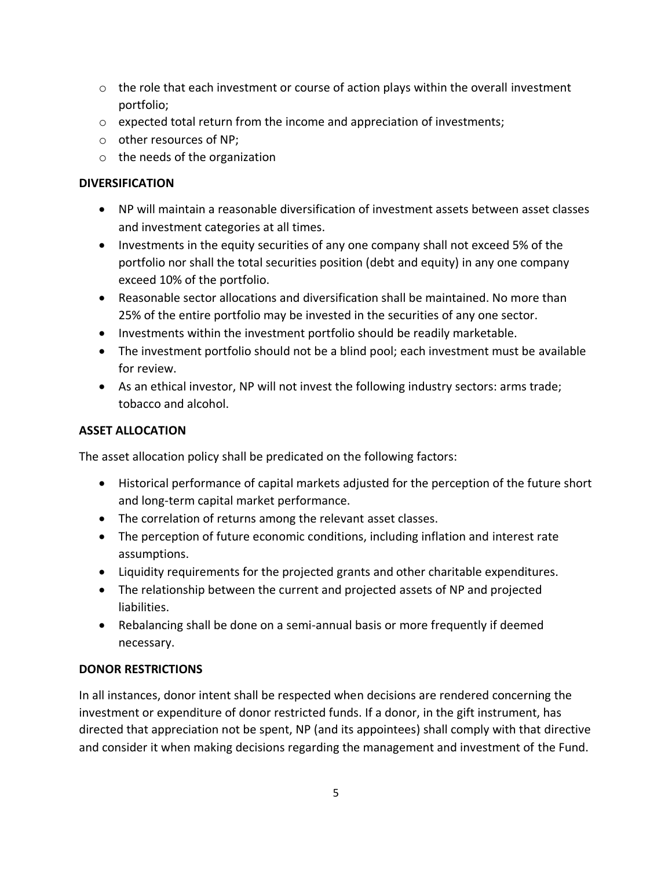- $\circ$  the role that each investment or course of action plays within the overall investment portfolio;
- $\circ$  expected total return from the income and appreciation of investments;
- o other resources of NP;
- o the needs of the organization

#### **DIVERSIFICATION**

- NP will maintain a reasonable diversification of investment assets between asset classes and investment categories at all times.
- Investments in the equity securities of any one company shall not exceed 5% of the portfolio nor shall the total securities position (debt and equity) in any one company exceed 10% of the portfolio.
- Reasonable sector allocations and diversification shall be maintained. No more than 25% of the entire portfolio may be invested in the securities of any one sector.
- Investments within the investment portfolio should be readily marketable.
- The investment portfolio should not be a blind pool; each investment must be available for review.
- As an ethical investor, NP will not invest the following industry sectors: arms trade; tobacco and alcohol.

#### **ASSET ALLOCATION**

The asset allocation policy shall be predicated on the following factors:

- Historical performance of capital markets adjusted for the perception of the future short and long-term capital market performance.
- The correlation of returns among the relevant asset classes.
- The perception of future economic conditions, including inflation and interest rate assumptions.
- Liquidity requirements for the projected grants and other charitable expenditures.
- The relationship between the current and projected assets of NP and projected liabilities.
- Rebalancing shall be done on a semi-annual basis or more frequently if deemed necessary.

## **DONOR RESTRICTIONS**

In all instances, donor intent shall be respected when decisions are rendered concerning the investment or expenditure of donor restricted funds. If a donor, in the gift instrument, has directed that appreciation not be spent, NP (and its appointees) shall comply with that directive and consider it when making decisions regarding the management and investment of the Fund.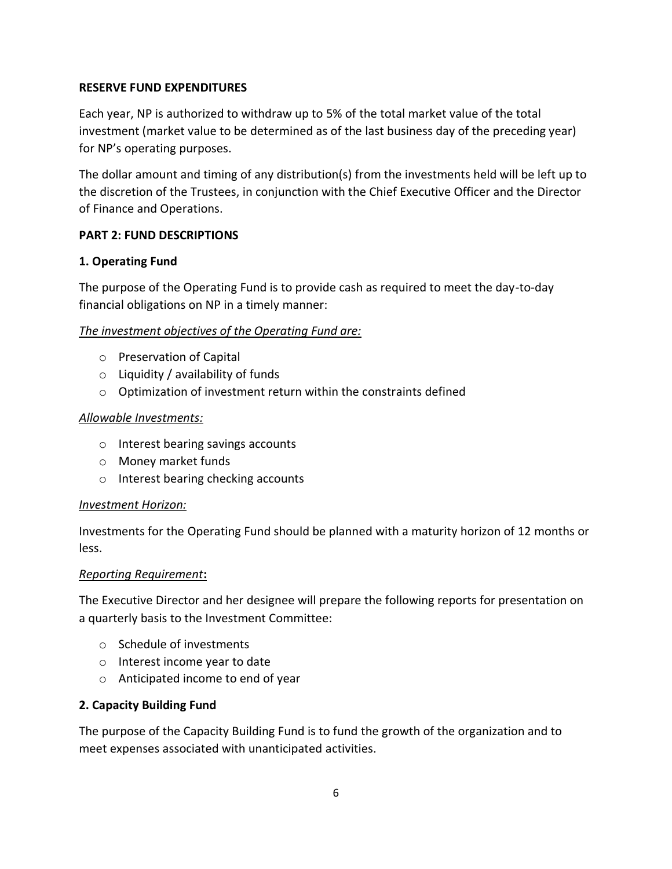#### **RESERVE FUND EXPENDITURES**

Each year, NP is authorized to withdraw up to 5% of the total market value of the total investment (market value to be determined as of the last business day of the preceding year) for NP's operating purposes.

The dollar amount and timing of any distribution(s) from the investments held will be left up to the discretion of the Trustees, in conjunction with the Chief Executive Officer and the Director of Finance and Operations.

#### **PART 2: FUND DESCRIPTIONS**

#### **1. Operating Fund**

The purpose of the Operating Fund is to provide cash as required to meet the day-to-day financial obligations on NP in a timely manner:

#### *The investment objectives of the Operating Fund are:*

- o Preservation of Capital
- $\circ$  Liquidity / availability of funds
- o Optimization of investment return within the constraints defined

#### *Allowable Investments:*

- o Interest bearing savings accounts
- o Money market funds
- o Interest bearing checking accounts

#### *Investment Horizon:*

Investments for the Operating Fund should be planned with a maturity horizon of 12 months or less.

#### *Reporting Requirement***:**

The Executive Director and her designee will prepare the following reports for presentation on a quarterly basis to the Investment Committee:

- o Schedule of investments
- o Interest income year to date
- o Anticipated income to end of year

#### **2. Capacity Building Fund**

The purpose of the Capacity Building Fund is to fund the growth of the organization and to meet expenses associated with unanticipated activities.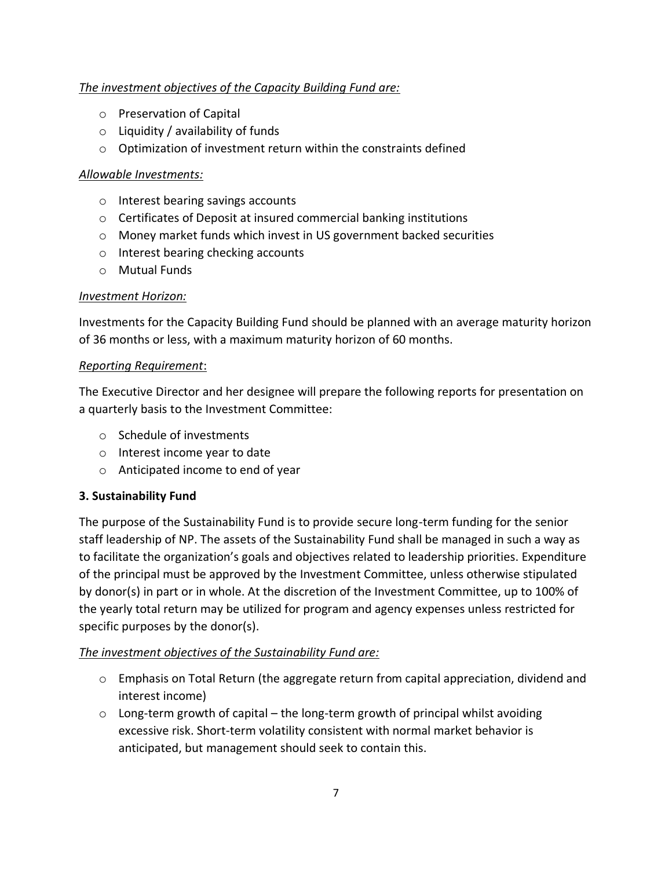## *The investment objectives of the Capacity Building Fund are:*

- o Preservation of Capital
- $\circ$  Liquidity / availability of funds
- o Optimization of investment return within the constraints defined

#### *Allowable Investments:*

- o Interest bearing savings accounts
- o Certificates of Deposit at insured commercial banking institutions
- o Money market funds which invest in US government backed securities
- o Interest bearing checking accounts
- o Mutual Funds

#### *Investment Horizon:*

Investments for the Capacity Building Fund should be planned with an average maturity horizon of 36 months or less, with a maximum maturity horizon of 60 months.

#### *Reporting Requirement*:

The Executive Director and her designee will prepare the following reports for presentation on a quarterly basis to the Investment Committee:

- o Schedule of investments
- o Interest income year to date
- o Anticipated income to end of year

## **3. Sustainability Fund**

The purpose of the Sustainability Fund is to provide secure long-term funding for the senior staff leadership of NP. The assets of the Sustainability Fund shall be managed in such a way as to facilitate the organization's goals and objectives related to leadership priorities. Expenditure of the principal must be approved by the Investment Committee, unless otherwise stipulated by donor(s) in part or in whole. At the discretion of the Investment Committee, up to 100% of the yearly total return may be utilized for program and agency expenses unless restricted for specific purposes by the donor(s).

## *The investment objectives of the Sustainability Fund are:*

- $\circ$  Emphasis on Total Return (the aggregate return from capital appreciation, dividend and interest income)
- o Long-term growth of capital the long-term growth of principal whilst avoiding excessive risk. Short-term volatility consistent with normal market behavior is anticipated, but management should seek to contain this.